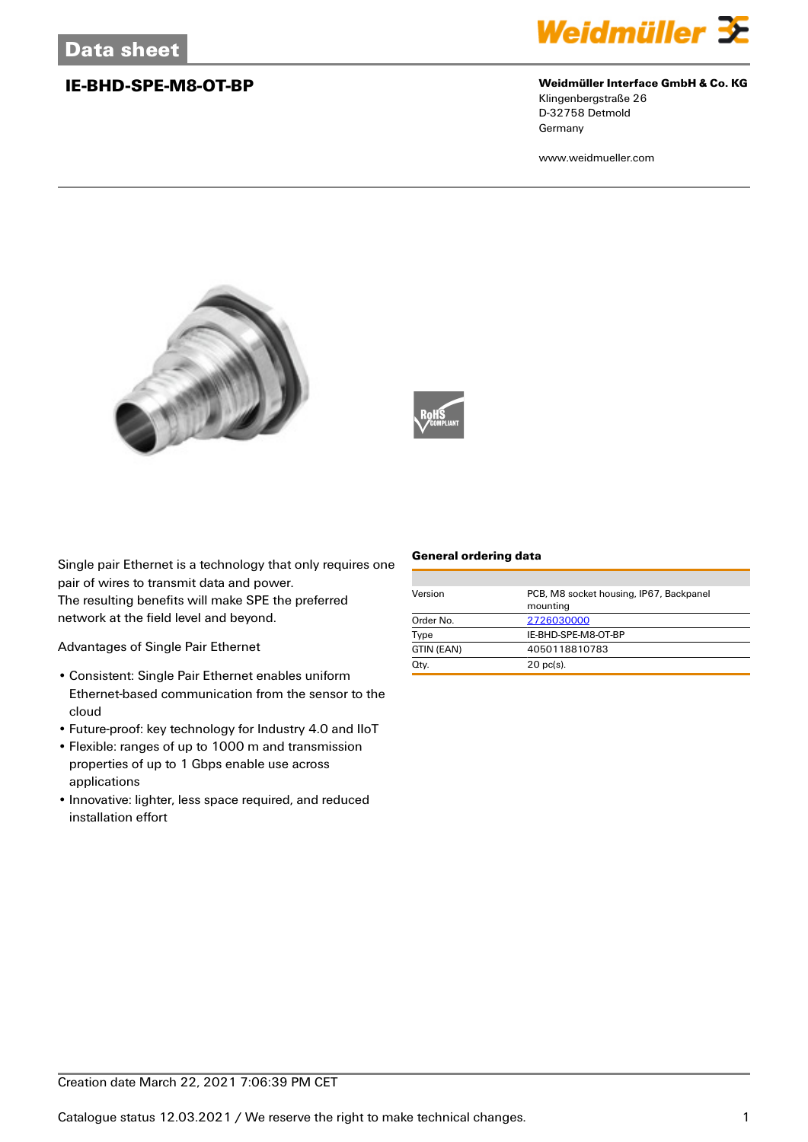

## **IE-BHD-SPE-M8-OT-BP Weidmüller Interface GmbH & Co. KG**

Klingenbergstraße 26 D-32758 Detmold Germany

www.weidmueller.com





Single pair Ethernet is a technology that only requires one pair of wires to transmit data and power.

The resulting benefits will make SPE the preferred network at the field level and beyond.

Advantages of Single Pair Ethernet

- Consistent: Single Pair Ethernet enables uniform Ethernet-based communication from the sensor to the cloud
- Future-proof: key technology for Industry 4.0 and IIoT
- Flexible: ranges of up to 1000 m and transmission properties of up to 1 Gbps enable use across applications
- Innovative: lighter, less space required, and reduced installation effort

## **General ordering data**

| Version    | PCB, M8 socket housing, IP67, Backpanel<br>mounting |  |
|------------|-----------------------------------------------------|--|
| Order No.  | 2726030000                                          |  |
| Type       | IE-BHD-SPE-M8-OT-BP                                 |  |
| GTIN (EAN) | 4050118810783                                       |  |
| Qty.       | $20$ pc(s).                                         |  |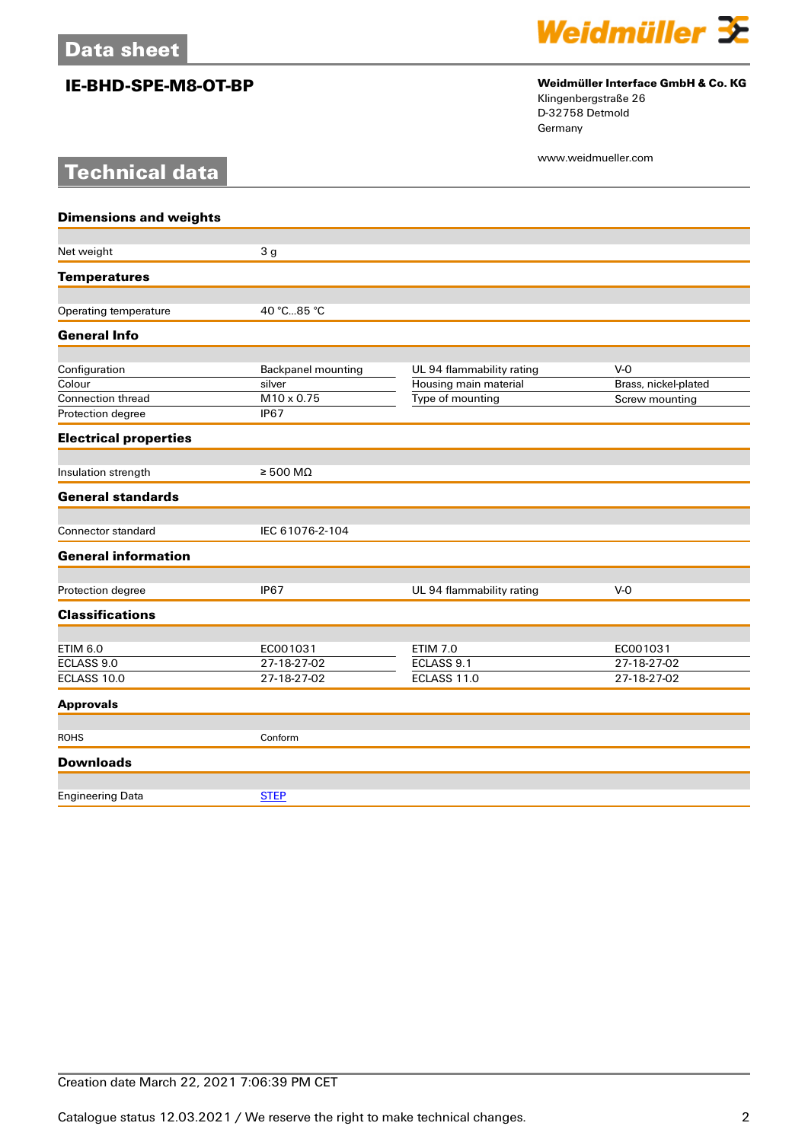**Technical data**



# **IE-BHD-SPE-M8-OT-BP Weidmüller Interface GmbH & Co. KG**

Klingenbergstraße 26 D-32758 Detmold Germany

www.weidmueller.com

| <b>Dimensions and weights</b> |                            |                           |                      |
|-------------------------------|----------------------------|---------------------------|----------------------|
|                               |                            |                           |                      |
| Net weight                    | 3 <sub>g</sub>             |                           |                      |
| <b>Temperatures</b>           |                            |                           |                      |
| Operating temperature         | 40 °C85 °C                 |                           |                      |
| <b>General Info</b>           |                            |                           |                      |
| Configuration                 | <b>Backpanel mounting</b>  | UL 94 flammability rating | $V-0$                |
| Colour                        | silver                     | Housing main material     | Brass, nickel-plated |
| Connection thread             | M10 x 0.75                 | Type of mounting          | Screw mounting       |
| Protection degree             | <b>IP67</b>                |                           |                      |
| <b>Electrical properties</b>  |                            |                           |                      |
| Insulation strength           | $\geq 500 \text{ M}\Omega$ |                           |                      |
| <b>General standards</b>      |                            |                           |                      |
| Connector standard            | IEC 61076-2-104            |                           |                      |
| <b>General information</b>    |                            |                           |                      |
| Protection degree             | <b>IP67</b>                | UL 94 flammability rating | $V-0$                |
|                               |                            |                           |                      |
| <b>Classifications</b>        |                            |                           |                      |
| <b>ETIM 6.0</b>               | EC001031                   | <b>ETIM 7.0</b>           | EC001031             |
| ECLASS 9.0                    | 27-18-27-02                | ECLASS 9.1                | 27-18-27-02          |
| ECLASS 10.0                   | 27-18-27-02                | ECLASS 11.0               | 27-18-27-02          |
| <b>Approvals</b>              |                            |                           |                      |
| <b>ROHS</b>                   | Conform                    |                           |                      |
| <b>Downloads</b>              |                            |                           |                      |
|                               |                            |                           |                      |
| <b>Engineering Data</b>       | <b>STEP</b>                |                           |                      |